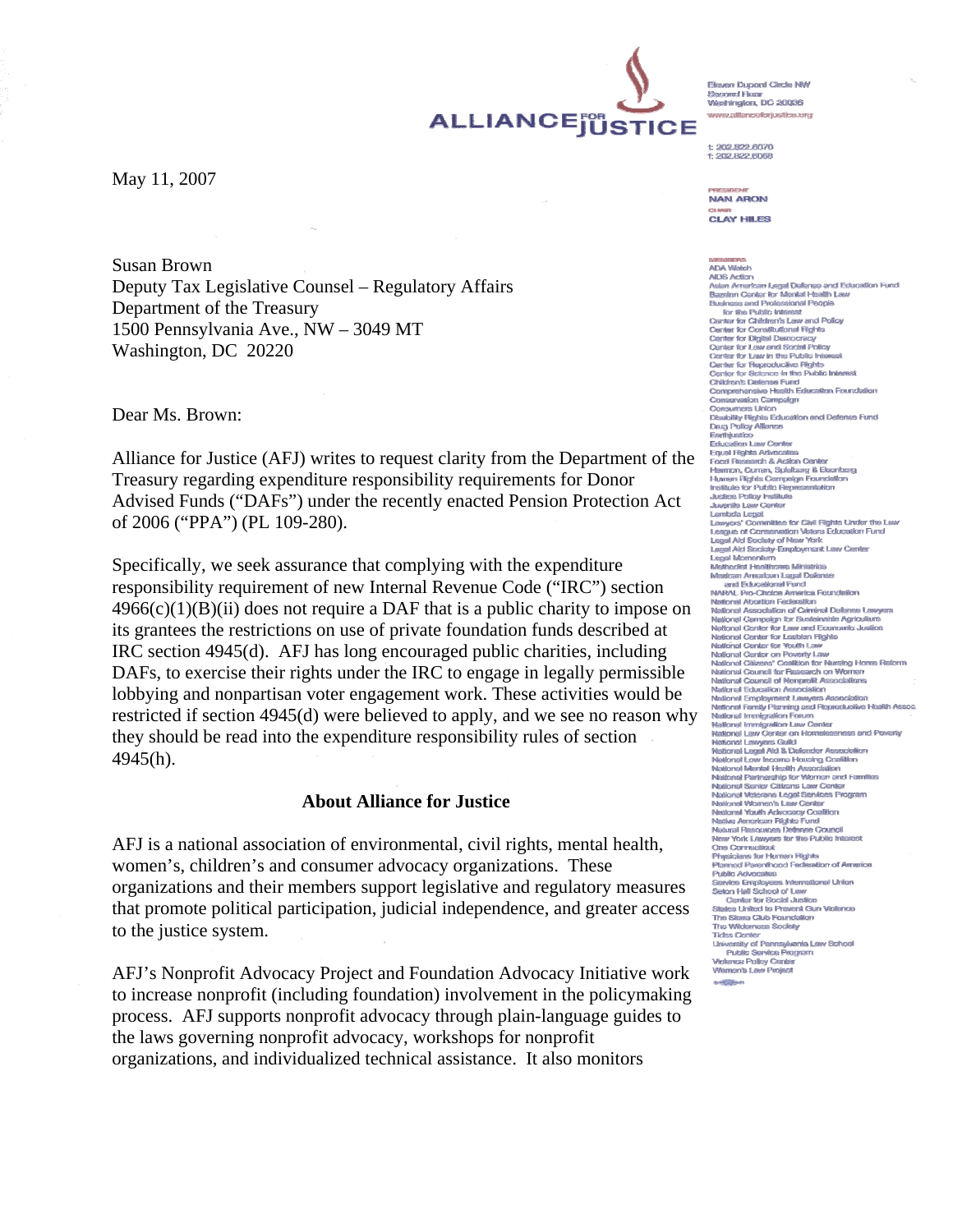Eleven Dunnet Circle NW **Caustine Chipse** searra Fixar<br>Weshington, DC 20036 saa allinneedesii seliessa ee

 $+$  902 822 8070 F 202 RP2 RDNF

**NAN ARON CLAY HILES** 

#### **ADA Watch**

**AIDS Action** Asian American Legal Defense and Education Fund **Bazelon Center for Mental Health Law** Determine for wealth and Policiesianal People<br>Business and Professional People<br>for the Public Interest<br>Center for Constitutional Rights Center for Digital Democracy Center for Law and Social Policy Conter for Law in the Public Ink Samer for Lewe in under aussen<br>Center for Beproductive Fights<br>Center for Science in the Public Interest<br>Children's Defense Fund<br>Comprehensive Health Education Foundation Conservation Campaign Consumers Union Disability Rights Eclusation and Dafansa<br>Daug Policy Alliance<br>Easthjustico<br>Easthjustico<br>Colusion Law Center<br>Fouch Research & Action Center<br>Fouch Research & Action Center<br>Hammon, Curren, Spielburg & Eisenberg<br>Unuren Rights Disshiller Rights Education and Defense Fund Lombda Legal<br>Lawyers' Committee for Civil Fights Under the Law<br>League of Conservation Waters Education Fund<br>Legal Aid Society of New York Legal Aid Socioly-Employmont Law Center Legal Ald Socioly-Employment Law Cent<br>Legal Momentum<br>Mishaclist Healthcare Ministrics<br>Meshaclist Healthcare Ministrics<br>MRRAL Pro-Choice America Foundation<br>NARAL Pro-Choice America Foundation<br>NARAL Pro-Choice America Founda National Abortion Federation reasons reconoci recessors)<br>National Association of Criminal Defense Lawyers National Association of Cammerat Deliverate Leavy<br>National Campaign for Susteinable Agriculture<br>National Canter for Law and Ecumumic Justice<br>National Center for Vouth Law<br>National Center for Vouth Law<br>National Center on Po National Citizens' Coalition for Nursing Home Reform reanona Caezars' Cassach for Newsing Forms resum<br>
National Council for Research on Women<br>
National Council of Nonprolit Association<br>
Matterial Education Association<br>
National Employment Leavyers Association<br>
National Famil National Immigration Forum<br>National Immigration Law Center National Law Center on Homelessness and Poverty Rahoma Law German on Howelessmess and Private National Lages Aid<br>Stational Lages Aid & Defender Association<br>National Lages Aid & Defender Association<br>National Memba Hasil Association<br>National Partnership for Women and Fami National Senior Citizens Law Center National Veterans Legal Services Program National Women's Law Center Maticunal Vrush Arkennanu Coalition resional vouen Aovocacy Coalison<br>Nativa American Righis Fund<br>Natural Resouvoes Defense Council<br>New York Lawyers for the Public Into **One Connecticut** One Communion<br>Physicians for Human Rights Planned Parenthood Federation of America Public Advocates Pusar Asyociates<br>Seton Hall School of Law<br>Seton Hall School of Law<br>Center for Social Justice<br>States United to Prevent Gun Violence The Sierra Club Foundation The Wildemass Society **Tides Center** Tuss Genes<br>University of Pennsylvania Law School<br>Public Service Program<br>Wolerce Policy Center<br>Women's Law Project **Longham** 

May 11, 2007

Susan Brown Deputy Tax Legislative Counsel – Regulatory Affairs Department of the Treasury 1500 Pennsylvania Ave., NW – 3049 MT Washington, DC 20220

Dear Ms. Brown:

Alliance for Justice (AFJ) writes to request clarity from the Department of the Treasury regarding expenditure responsibility requirements for Donor Advised Funds ("DAFs") under the recently enacted Pension Protection Act of 2006 ("PPA") (PL 109-280).

Specifically, we seek assurance that complying with the expenditure responsibility requirement of new Internal Revenue Code ("IRC") section  $4966(c)(1)(B)(ii)$  does not require a DAF that is a public charity to impose on its grantees the restrictions on use of private foundation funds described at IRC section 4945(d). AFJ has long encouraged public charities, including DAFs, to exercise their rights under the IRC to engage in legally permissible lobbying and nonpartisan voter engagement work. These activities would be restricted if section 4945(d) were believed to apply, and we see no reason why they should be read into the expenditure responsibility rules of section 4945(h).

#### **About Alliance for Justice**

AFJ is a national association of environmental, civil rights, mental health, women's, children's and consumer advocacy organizations. These organizations and their members support legislative and regulatory measures that promote political participation, judicial independence, and greater access to the justice system.

AFJ's Nonprofit Advocacy Project and Foundation Advocacy Initiative work to increase nonprofit (including foundation) involvement in the policymaking process. AFJ supports nonprofit advocacy through plain-language guides to the laws governing nonprofit advocacy, workshops for nonprofit organizations, and individualized technical assistance. It also monitors

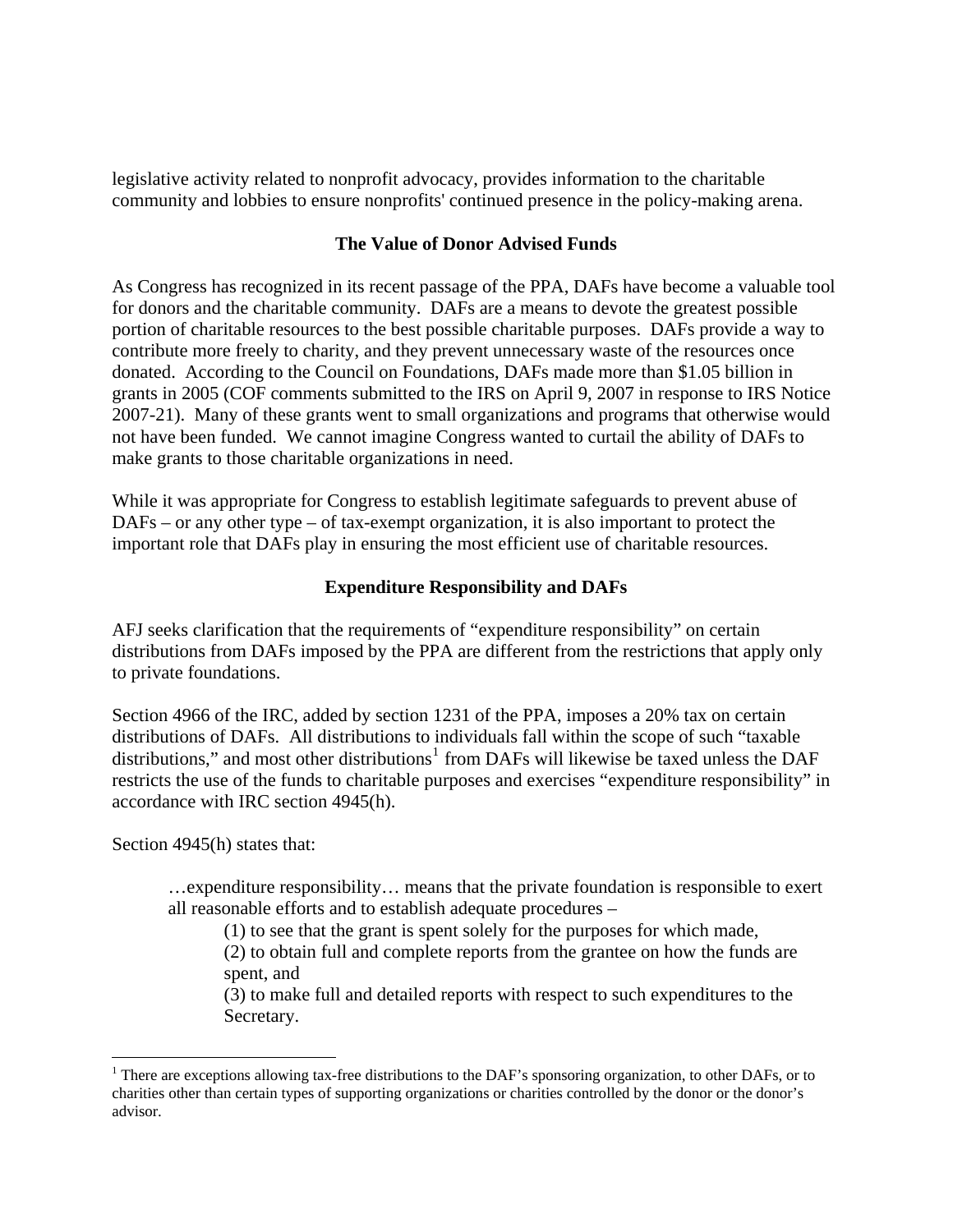legislative activity related to nonprofit advocacy, provides information to the charitable community and lobbies to ensure nonprofits' continued presence in the policy-making arena.

## **The Value of Donor Advised Funds**

As Congress has recognized in its recent passage of the PPA, DAFs have become a valuable tool for donors and the charitable community. DAFs are a means to devote the greatest possible portion of charitable resources to the best possible charitable purposes. DAFs provide a way to contribute more freely to charity, and they prevent unnecessary waste of the resources once donated. According to the Council on Foundations, DAFs made more than \$1.05 billion in grants in 2005 (COF comments submitted to the IRS on April 9, 2007 in response to IRS Notice 2007-21). Many of these grants went to small organizations and programs that otherwise would not have been funded. We cannot imagine Congress wanted to curtail the ability of DAFs to make grants to those charitable organizations in need.

While it was appropriate for Congress to establish legitimate safeguards to prevent abuse of DAFs – or any other type – of tax-exempt organization, it is also important to protect the important role that DAFs play in ensuring the most efficient use of charitable resources.

### **Expenditure Responsibility and DAFs**

AFJ seeks clarification that the requirements of "expenditure responsibility" on certain distributions from DAFs imposed by the PPA are different from the restrictions that apply only to private foundations.

Section 4966 of the IRC, added by section 1231 of the PPA, imposes a 20% tax on certain distributions of DAFs. All distributions to individuals fall within the scope of such "taxable distributions," and most other distributions<sup>[1](#page-1-0)</sup> from DAFs will likewise be taxed unless the DAF restricts the use of the funds to charitable purposes and exercises "expenditure responsibility" in accordance with IRC section 4945(h).

Section 4945(h) states that:

 $\overline{a}$ 

…expenditure responsibility… means that the private foundation is responsible to exert all reasonable efforts and to establish adequate procedures –

(1) to see that the grant is spent solely for the purposes for which made,

(2) to obtain full and complete reports from the grantee on how the funds are spent, and

(3) to make full and detailed reports with respect to such expenditures to the Secretary.

<span id="page-1-0"></span><sup>&</sup>lt;sup>1</sup> There are exceptions allowing tax-free distributions to the DAF's sponsoring organization, to other DAFs, or to charities other than certain types of supporting organizations or charities controlled by the donor or the donor's advisor.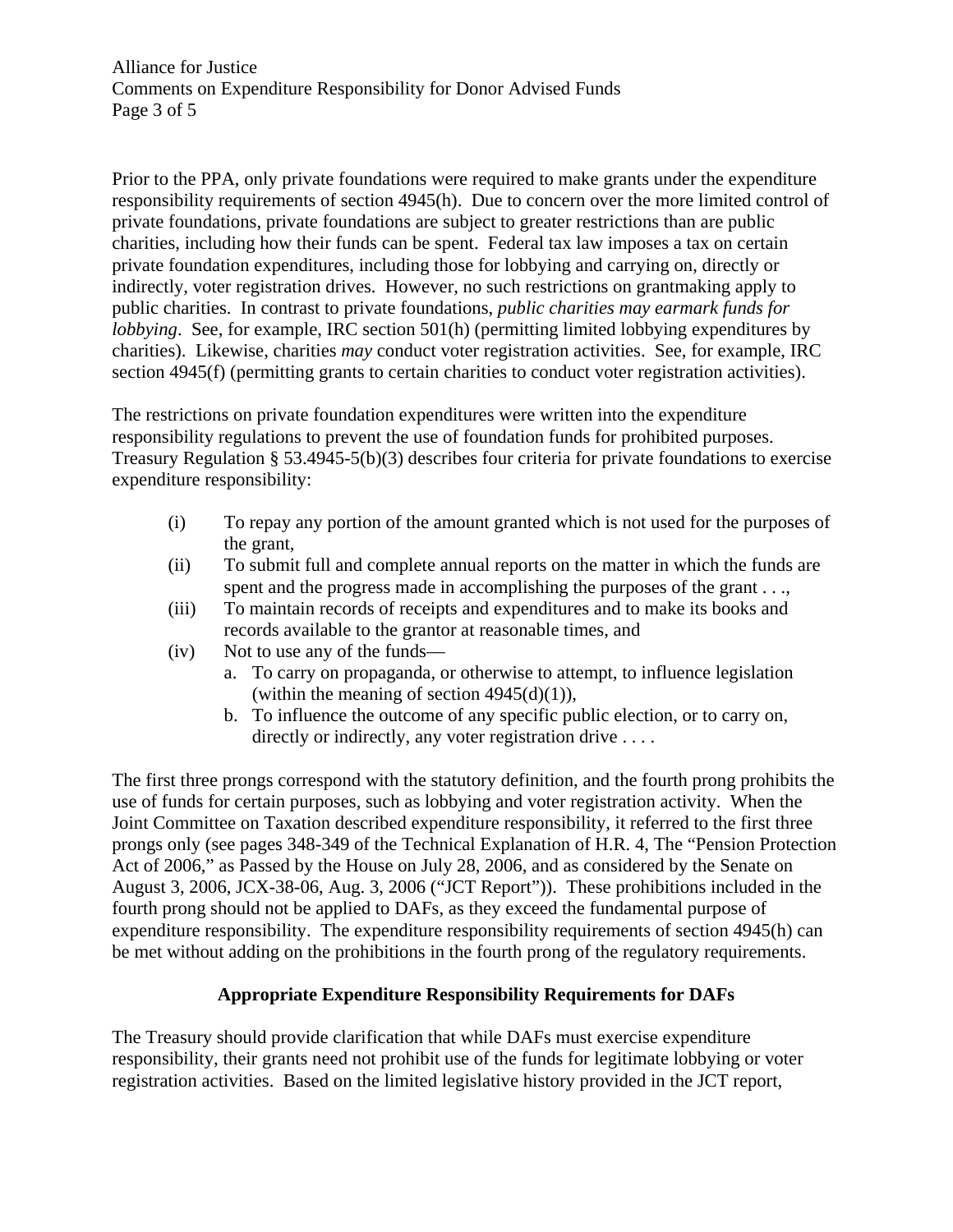Alliance for Justice Comments on Expenditure Responsibility for Donor Advised Funds Page 3 of 5

Prior to the PPA, only private foundations were required to make grants under the expenditure responsibility requirements of section 4945(h). Due to concern over the more limited control of private foundations, private foundations are subject to greater restrictions than are public charities, including how their funds can be spent. Federal tax law imposes a tax on certain private foundation expenditures, including those for lobbying and carrying on, directly or indirectly, voter registration drives. However, no such restrictions on grantmaking apply to public charities. In contrast to private foundations, *public charities may earmark funds for lobbying*. See, for example, IRC section 501(h) (permitting limited lobbying expenditures by charities). Likewise, charities *may* conduct voter registration activities. See, for example, IRC section 4945(f) (permitting grants to certain charities to conduct voter registration activities).

The restrictions on private foundation expenditures were written into the expenditure responsibility regulations to prevent the use of foundation funds for prohibited purposes. Treasury Regulation § 53.4945-5(b)(3) describes four criteria for private foundations to exercise expenditure responsibility:

- (i) To repay any portion of the amount granted which is not used for the purposes of the grant,
- (ii) To submit full and complete annual reports on the matter in which the funds are spent and the progress made in accomplishing the purposes of the grant . . .,
- (iii) To maintain records of receipts and expenditures and to make its books and records available to the grantor at reasonable times, and
- (iv) Not to use any of the funds
	- a. To carry on propaganda, or otherwise to attempt, to influence legislation (within the meaning of section  $4945(d)(1)$ ),
	- b. To influence the outcome of any specific public election, or to carry on, directly or indirectly, any voter registration drive ....

The first three prongs correspond with the statutory definition, and the fourth prong prohibits the use of funds for certain purposes, such as lobbying and voter registration activity. When the Joint Committee on Taxation described expenditure responsibility, it referred to the first three prongs only (see pages 348-349 of the Technical Explanation of H.R. 4, The "Pension Protection Act of 2006," as Passed by the House on July 28, 2006, and as considered by the Senate on August 3, 2006, JCX-38-06, Aug. 3, 2006 ("JCT Report")). These prohibitions included in the fourth prong should not be applied to DAFs, as they exceed the fundamental purpose of expenditure responsibility. The expenditure responsibility requirements of section 4945(h) can be met without adding on the prohibitions in the fourth prong of the regulatory requirements.

# **Appropriate Expenditure Responsibility Requirements for DAFs**

The Treasury should provide clarification that while DAFs must exercise expenditure responsibility, their grants need not prohibit use of the funds for legitimate lobbying or voter registration activities. Based on the limited legislative history provided in the JCT report,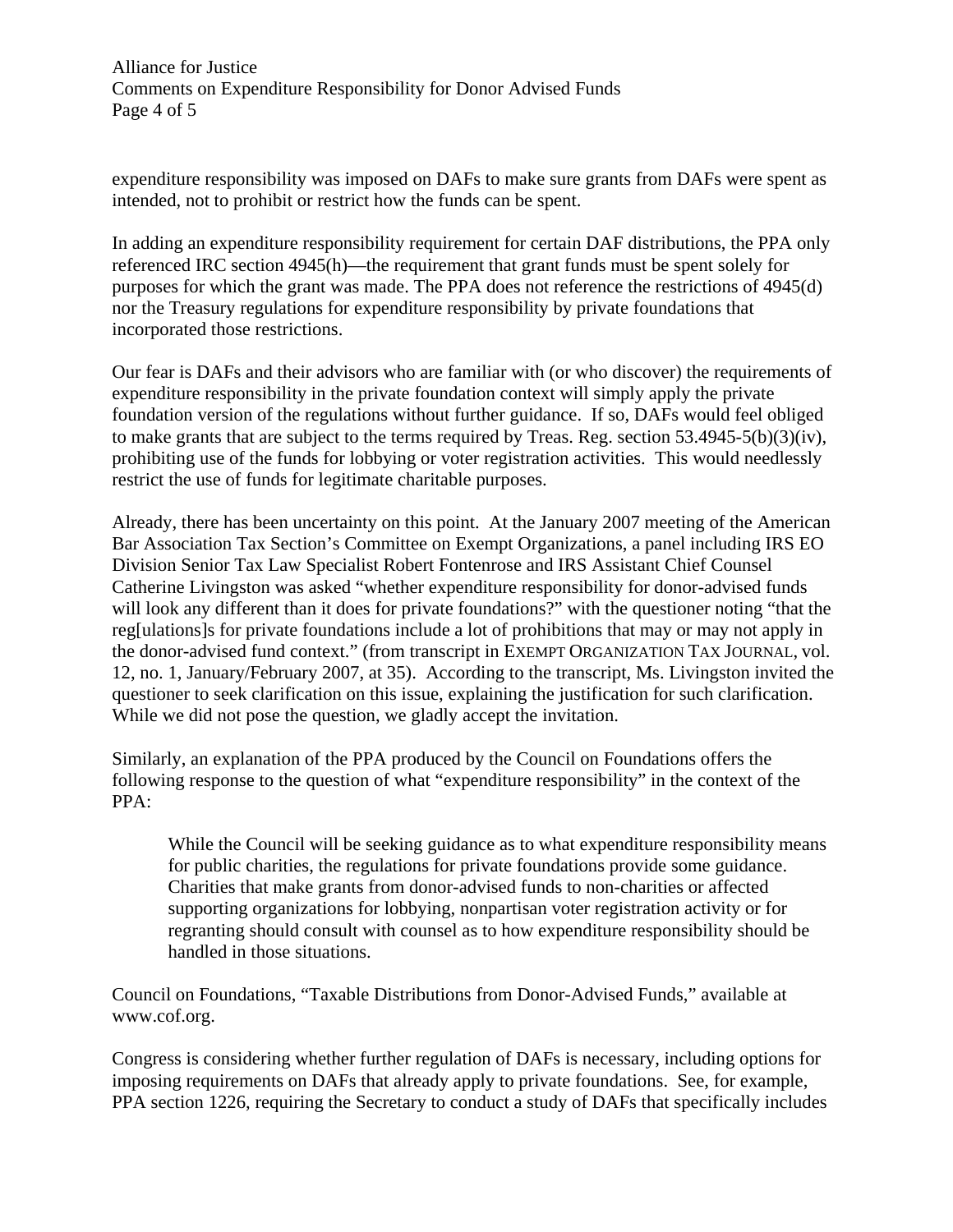Alliance for Justice Comments on Expenditure Responsibility for Donor Advised Funds Page 4 of 5

expenditure responsibility was imposed on DAFs to make sure grants from DAFs were spent as intended, not to prohibit or restrict how the funds can be spent.

In adding an expenditure responsibility requirement for certain DAF distributions, the PPA only referenced IRC section 4945(h)—the requirement that grant funds must be spent solely for purposes for which the grant was made. The PPA does not reference the restrictions of 4945(d) nor the Treasury regulations for expenditure responsibility by private foundations that incorporated those restrictions.

Our fear is DAFs and their advisors who are familiar with (or who discover) the requirements of expenditure responsibility in the private foundation context will simply apply the private foundation version of the regulations without further guidance. If so, DAFs would feel obliged to make grants that are subject to the terms required by Treas. Reg. section 53.4945-5(b)(3)(iv), prohibiting use of the funds for lobbying or voter registration activities. This would needlessly restrict the use of funds for legitimate charitable purposes.

Already, there has been uncertainty on this point. At the January 2007 meeting of the American Bar Association Tax Section's Committee on Exempt Organizations, a panel including IRS EO Division Senior Tax Law Specialist Robert Fontenrose and IRS Assistant Chief Counsel Catherine Livingston was asked "whether expenditure responsibility for donor-advised funds will look any different than it does for private foundations?" with the questioner noting "that the reg[ulations]s for private foundations include a lot of prohibitions that may or may not apply in the donor-advised fund context." (from transcript in EXEMPT ORGANIZATION TAX JOURNAL, vol. 12, no. 1, January/February 2007, at 35). According to the transcript, Ms. Livingston invited the questioner to seek clarification on this issue, explaining the justification for such clarification. While we did not pose the question, we gladly accept the invitation.

Similarly, an explanation of the PPA produced by the Council on Foundations offers the following response to the question of what "expenditure responsibility" in the context of the PPA:

While the Council will be seeking guidance as to what expenditure responsibility means for public charities, the regulations for private foundations provide some guidance. Charities that make grants from donor-advised funds to non-charities or affected supporting organizations for lobbying, nonpartisan voter registration activity or for regranting should consult with counsel as to how expenditure responsibility should be handled in those situations.

Council on Foundations, "Taxable Distributions from Donor-Advised Funds," available at www.cof.org.

Congress is considering whether further regulation of DAFs is necessary, including options for imposing requirements on DAFs that already apply to private foundations. See, for example, PPA section 1226, requiring the Secretary to conduct a study of DAFs that specifically includes